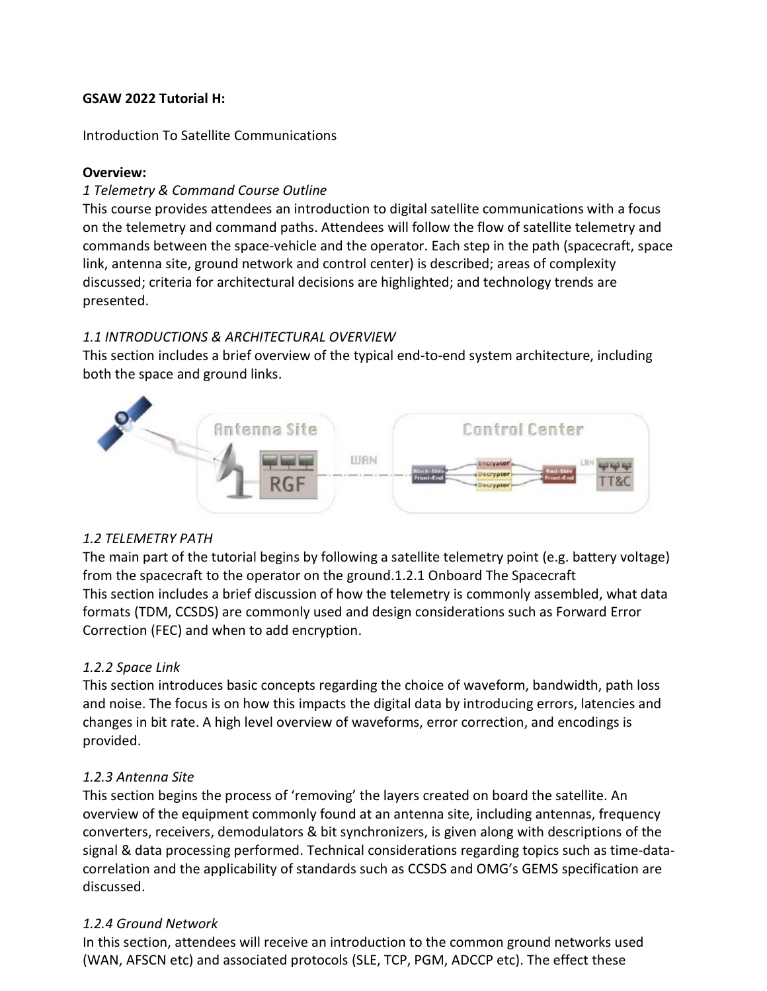#### **GSAW 2022 Tutorial H:**

#### Introduction To Satellite Communications

#### **Overview:**

## *1 Telemetry & Command Course Outline*

This course provides attendees an introduction to digital satellite communications with a focus on the telemetry and command paths. Attendees will follow the flow of satellite telemetry and commands between the space-vehicle and the operator. Each step in the path (spacecraft, space link, antenna site, ground network and control center) is described; areas of complexity discussed; criteria for architectural decisions are highlighted; and technology trends are presented.

## *1.1 INTRODUCTIONS & ARCHITECTURAL OVERVIEW*

This section includes a brief overview of the typical end-to-end system architecture, including both the space and ground links.



## *1.2 TELEMETRY PATH*

The main part of the tutorial begins by following a satellite telemetry point (e.g. battery voltage) from the spacecraft to the operator on the ground.1.2.1 Onboard The Spacecraft This section includes a brief discussion of how the telemetry is commonly assembled, what data formats (TDM, CCSDS) are commonly used and design considerations such as Forward Error Correction (FEC) and when to add encryption.

# *1.2.2 Space Link*

This section introduces basic concepts regarding the choice of waveform, bandwidth, path loss and noise. The focus is on how this impacts the digital data by introducing errors, latencies and changes in bit rate. A high level overview of waveforms, error correction, and encodings is provided.

# *1.2.3 Antenna Site*

This section begins the process of 'removing' the layers created on board the satellite. An overview of the equipment commonly found at an antenna site, including antennas, frequency converters, receivers, demodulators & bit synchronizers, is given along with descriptions of the signal & data processing performed. Technical considerations regarding topics such as time-datacorrelation and the applicability of standards such as CCSDS and OMG's GEMS specification are discussed.

## *1.2.4 Ground Network*

In this section, attendees will receive an introduction to the common ground networks used (WAN, AFSCN etc) and associated protocols (SLE, TCP, PGM, ADCCP etc). The effect these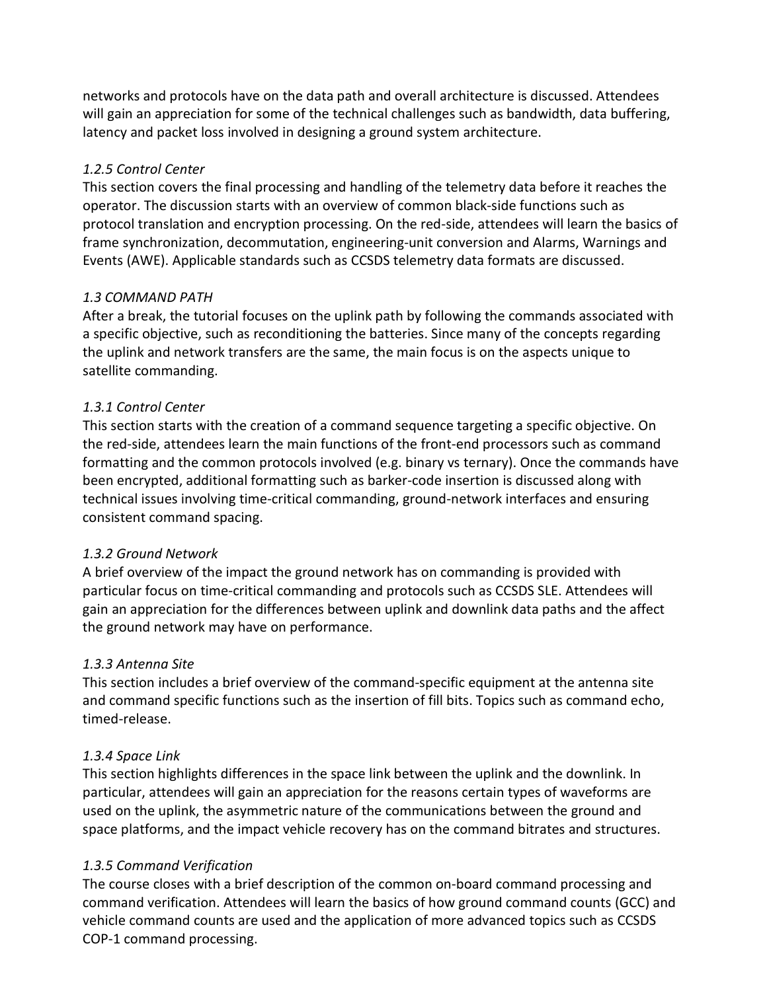networks and protocols have on the data path and overall architecture is discussed. Attendees will gain an appreciation for some of the technical challenges such as bandwidth, data buffering, latency and packet loss involved in designing a ground system architecture.

## *1.2.5 Control Center*

This section covers the final processing and handling of the telemetry data before it reaches the operator. The discussion starts with an overview of common black-side functions such as protocol translation and encryption processing. On the red-side, attendees will learn the basics of frame synchronization, decommutation, engineering-unit conversion and Alarms, Warnings and Events (AWE). Applicable standards such as CCSDS telemetry data formats are discussed.

## *1.3 COMMAND PATH*

After a break, the tutorial focuses on the uplink path by following the commands associated with a specific objective, such as reconditioning the batteries. Since many of the concepts regarding the uplink and network transfers are the same, the main focus is on the aspects unique to satellite commanding.

## *1.3.1 Control Center*

This section starts with the creation of a command sequence targeting a specific objective. On the red-side, attendees learn the main functions of the front-end processors such as command formatting and the common protocols involved (e.g. binary vs ternary). Once the commands have been encrypted, additional formatting such as barker-code insertion is discussed along with technical issues involving time-critical commanding, ground-network interfaces and ensuring consistent command spacing.

## *1.3.2 Ground Network*

A brief overview of the impact the ground network has on commanding is provided with particular focus on time-critical commanding and protocols such as CCSDS SLE. Attendees will gain an appreciation for the differences between uplink and downlink data paths and the affect the ground network may have on performance.

# *1.3.3 Antenna Site*

This section includes a brief overview of the command-specific equipment at the antenna site and command specific functions such as the insertion of fill bits. Topics such as command echo, timed-release.

## *1.3.4 Space Link*

This section highlights differences in the space link between the uplink and the downlink. In particular, attendees will gain an appreciation for the reasons certain types of waveforms are used on the uplink, the asymmetric nature of the communications between the ground and space platforms, and the impact vehicle recovery has on the command bitrates and structures.

# *1.3.5 Command Verification*

The course closes with a brief description of the common on-board command processing and command verification. Attendees will learn the basics of how ground command counts (GCC) and vehicle command counts are used and the application of more advanced topics such as CCSDS COP-1 command processing.